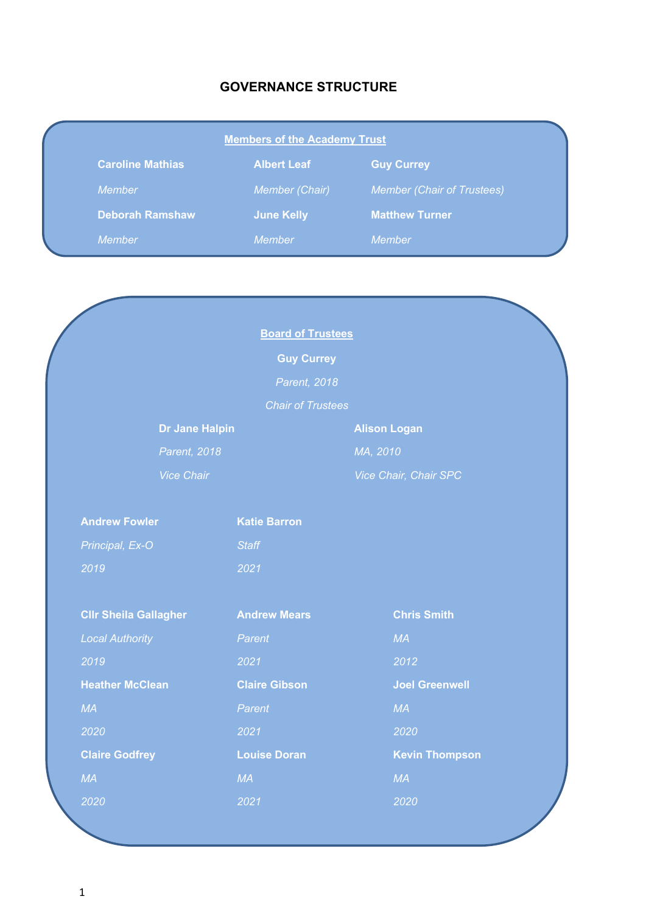# **GOVERNANCE STRUCTURE**

| <b>Members of the Academy Trust</b> |                       |                                   |  |
|-------------------------------------|-----------------------|-----------------------------------|--|
| <b>Caroline Mathias</b>             | <b>Albert Leaf</b>    | <b>Guy Currey</b>                 |  |
| <b>Member</b>                       | <b>Member (Chair)</b> | <b>Member (Chair of Trustees)</b> |  |
| <b>Deborah Ramshaw</b>              | <b>June Kelly</b>     | <b>Matthew Turner</b>             |  |
| Member                              | <b>Member</b>         | Member                            |  |

|                              | <b>Board of Trustees</b> |                       |
|------------------------------|--------------------------|-----------------------|
|                              | <b>Guy Currey</b>        |                       |
|                              | Parent, 2018             |                       |
|                              | <b>Chair of Trustees</b> |                       |
| <b>Dr Jane Halpin</b>        |                          | <b>Alison Logan</b>   |
| Parent, 2018                 |                          | MA, 2010              |
| <b>Vice Chair</b>            |                          | Vice Chair, Chair SPC |
|                              |                          |                       |
| <b>Andrew Fowler</b>         | <b>Katie Barron</b>      |                       |
| Principal, Ex-O              | <b>Staff</b>             |                       |
| 2019                         | 2021                     |                       |
|                              |                          |                       |
| <b>CIIr Sheila Gallagher</b> | <b>Andrew Mears</b>      | <b>Chris Smith</b>    |
| <b>Local Authority</b>       | Parent                   | MA                    |
| 2019                         | 2021                     | 2012                  |
| <b>Heather McClean</b>       | <b>Claire Gibson</b>     | <b>Joel Greenwell</b> |
| MA                           | Parent                   | MA                    |
| 2020                         | 2021                     | 2020                  |
| <b>Claire Godfrey</b>        | <b>Louise Doran</b>      | <b>Kevin Thompson</b> |
| <b>MA</b>                    | MA                       | <b>MA</b>             |
| 2020                         | 2021                     | 2020                  |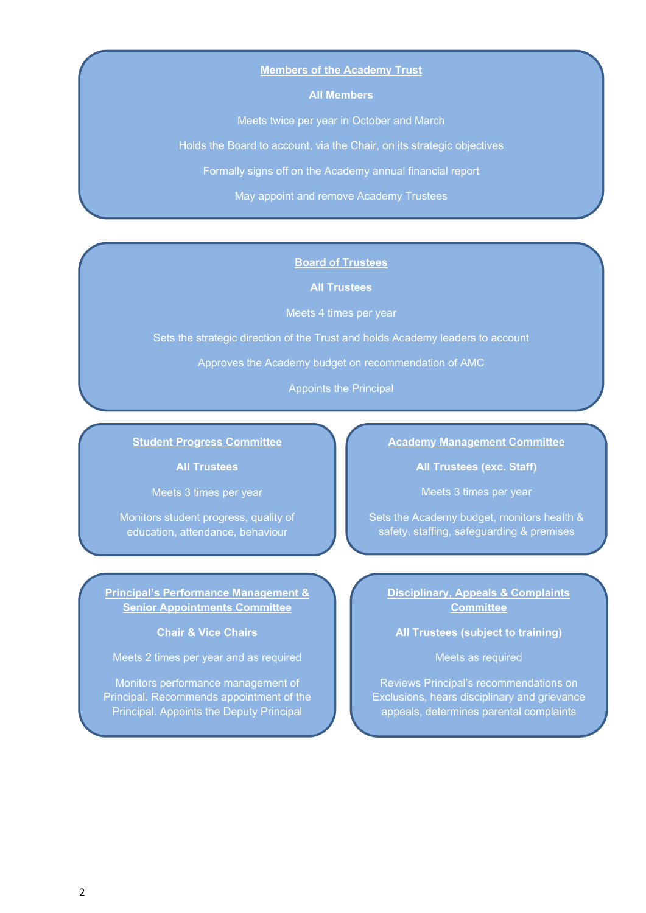### **Members of the Academy Trust**

### **All Members**

Meets twice per year in October and March

Holds the Board to account, via the Chair, on its strategic objectives

Formally signs off on the Academy annual financial report

May appoint and remove Academy Trustees

### **Board of Trustees**

**All Trustees**

Meets 4 times per year

Sets the strategic direction of the Trust and holds Academy leaders to account

Approves the Academy budget on recommendation of AMC

Appoints the Principal

### **Student Progress Committee**

**All Trustees**

Meets 3 times per year

Monitors student progress, quality of education, attendance, behaviour

**Principal's Performance Management & Senior Appointments Committee**

**Chair & Vice Chairs**

Meets 2 times per year and as required

Monitors performance management of Principal. Recommends appointment of the Principal. Appoints the Deputy Principal

### **Academy Management Committee**

**All Trustees (exc. Staff)**

Meets 3 times per year

Sets the Academy budget, monitors health & safety, staffing, safeguarding & premises

**Disciplinary, Appeals & Complaints Committee**

**All Trustees (subject to training)**

# Meets as required

Reviews Principal's recommendations on Exclusions, hears disciplinary and grievance appeals, determines parental complaints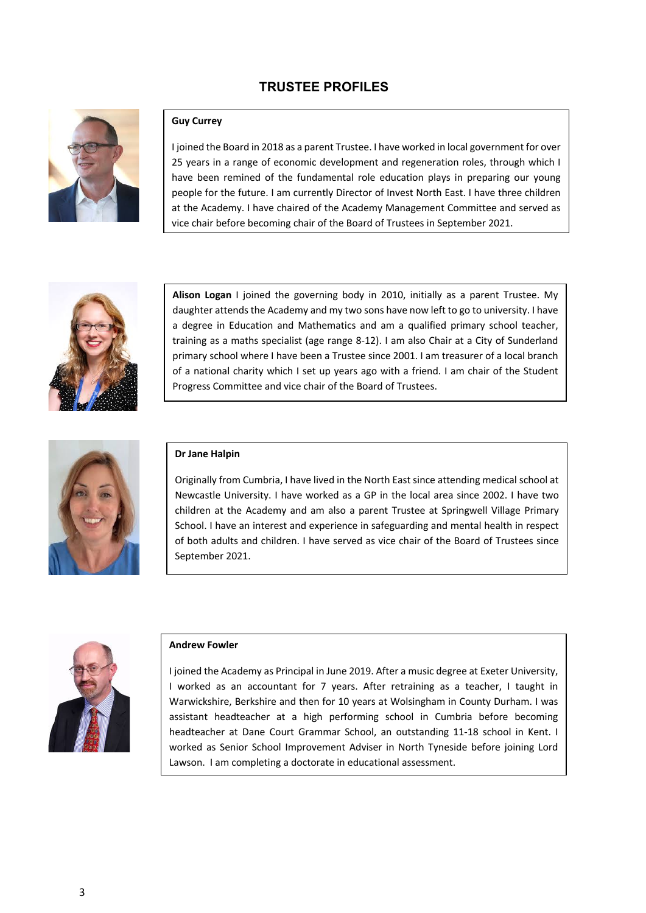# **TRUSTEE PROFILES**



### **Guy Currey**

I joined the Board in 2018 as a parent Trustee. I have worked in local government for over 25 years in a range of economic development and regeneration roles, through which I have been remined of the fundamental role education plays in preparing our young people for the future. I am currently Director of Invest North East. I have three children at the Academy. I have chaired of the Academy Management Committee and served as vice chair before becoming chair of the Board of Trustees in September 2021.



**Alison Logan** I joined the governing body in 2010, initially as a parent Trustee. My daughter attends the Academy and my two sons have now left to go to university. I have a degree in Education and Mathematics and am a qualified primary school teacher, training as a maths specialist (age range 8-12). I am also Chair at a City of Sunderland primary school where I have been a Trustee since 2001. I am treasurer of a local branch of a national charity which I set up years ago with a friend. I am chair of the Student Progress Committee and vice chair of the Board of Trustees.



#### **Dr Jane Halpin**

Originally from Cumbria, I have lived in the North East since attending medical school at Newcastle University. I have worked as a GP in the local area since 2002. I have two children at the Academy and am also a parent Trustee at Springwell Village Primary School. I have an interest and experience in safeguarding and mental health in respect of both adults and children. I have served as vice chair of the Board of Trustees since September 2021.



#### **Andrew Fowler**

I joined the Academy as Principal in June 2019. After a music degree at Exeter University, I worked as an accountant for 7 years. After retraining as a teacher, I taught in Warwickshire, Berkshire and then for 10 years at Wolsingham in County Durham. I was assistant headteacher at a high performing school in Cumbria before becoming headteacher at Dane Court Grammar School, an outstanding 11-18 school in Kent. I worked as Senior School Improvement Adviser in North Tyneside before joining Lord Lawson. I am completing a doctorate in educational assessment.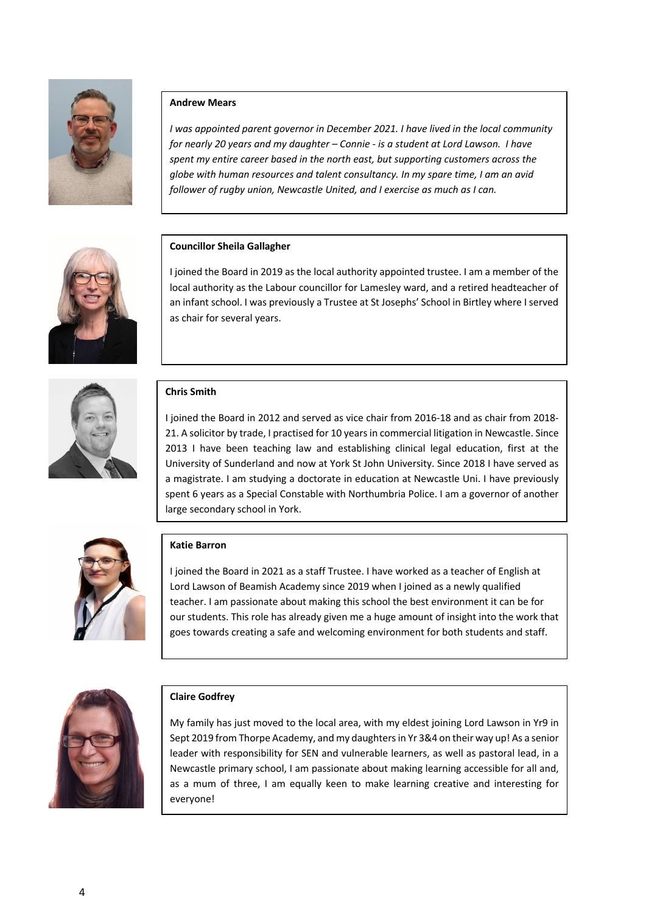

# **Andrew Mears**

*I was appointed parent governor in December 2021. I have lived in the local community for nearly 20 years and my daughter – Connie - is a student at Lord Lawson. I have spent my entire career based in the north east, but supporting customers across the globe with human resources and talent consultancy. In my spare time, I am an avid follower of rugby union, Newcastle United, and I exercise as much as I can.*



# **Councillor Sheila Gallagher**

I joined the Board in 2019 as the local authority appointed trustee. I am a member of the local authority as the Labour councillor for Lamesley ward, and a retired headteacher of an infant school. I was previously a Trustee at St Josephs' School in Birtley where I served as chair for several years.



## **Chris Smith**

I joined the Board in 2012 and served as vice chair from 2016-18 and as chair from 2018- 21. A solicitor by trade, I practised for 10 years in commercial litigation in Newcastle. Since 2013 I have been teaching law and establishing clinical legal education, first at the University of Sunderland and now at York St John University. Since 2018 I have served as a magistrate. I am studying a doctorate in education at Newcastle Uni. I have previously spent 6 years as a Special Constable with Northumbria Police. I am a governor of another large secondary school in York.



## **Katie Barron**

I joined the Board in 2021 as a staff Trustee. I have worked as a teacher of English at Lord Lawson of Beamish Academy since 2019 when I joined as a newly qualified teacher. I am passionate about making this school the best environment it can be for our students. This role has already given me a huge amount of insight into the work that goes towards creating a safe and welcoming environment for both students and staff.



## **Claire Godfrey**

My family has just moved to the local area, with my eldest joining Lord Lawson in Yr9 in Sept 2019 from Thorpe Academy, and my daughters in Yr 3&4 on their way up! As a senior leader with responsibility for SEN and vulnerable learners, as well as pastoral lead, in a Newcastle primary school, I am passionate about making learning accessible for all and, as a mum of three, I am equally keen to make learning creative and interesting for everyone!